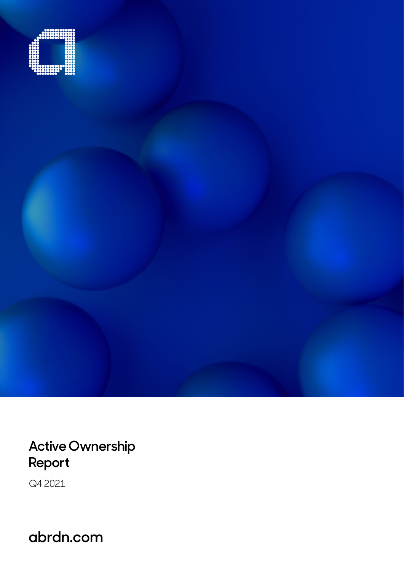

**Active Ownership Report**

Q4 2021

**abrdn.com**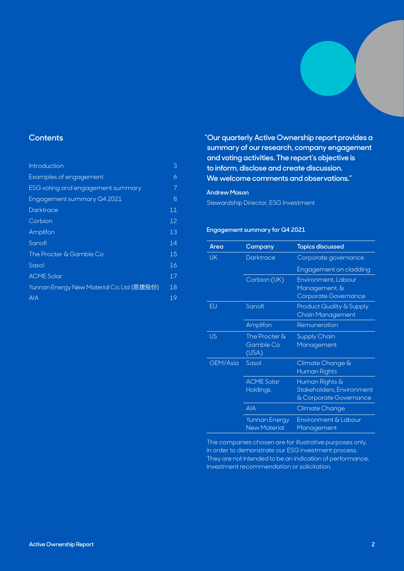# **Contents**

| 3  |
|----|
| 6  |
| 7  |
| 8  |
| 11 |
| 12 |
| 13 |
| 14 |
| 15 |
| 16 |
| 17 |
| 18 |
| 19 |
|    |

**"Our quarterly Active Ownership report provides a summary of our research, company engagement and voting activities. The report's objective is to inform, disclose and create discussion. We welcome comments and observations."**

## **Andrew Mason**

Stewardship Director, ESG Investment

# **Engagement summary for Q4 2021**

| Area      | Company                                     | <b>Topics discussed</b>                                               |
|-----------|---------------------------------------------|-----------------------------------------------------------------------|
| <b>UK</b> | <b>Darktrace</b>                            | Corporate governance                                                  |
|           |                                             | Engagement on cladding                                                |
|           | Corbion (UK)                                | Environment, Labour<br>Management, &<br>Corporate Governance          |
| EU        | Sanofi                                      | <b>Product Quality &amp; Supply</b><br><b>Chain Management</b>        |
|           | Amplifon                                    | Remuneration                                                          |
| <b>US</b> | The Procter &<br>Gamble Co<br>(USA)         | Supply Chain<br>Management                                            |
| GEM/Asia  | Sasol                                       | Climate Change &<br>Human Rights                                      |
|           | <b>ACME Solar</b><br>Holdings               | Human Rights &<br>Stakeholders, Environment<br>& Corporate Governance |
|           | <b>AIA</b>                                  | Climate Change                                                        |
|           | <b>Yunnan Energy</b><br><b>New Material</b> | Environment & Labour<br>Management                                    |

The companies chosen are for illustrative purposes only, in order to demonstrate our ESG investment process. They are not intended to be an indication of performance, investment recommendation or solicitation.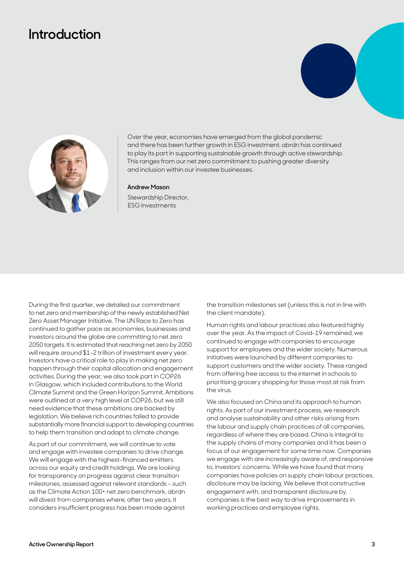# <span id="page-2-0"></span>**Introduction**





Over the year, economies have emerged from the global pandemic and there has been further growth in ESG investment. abrdn has continued to play its part in supporting sustainable growth through active stewardship. This ranges from our net zero commitment to pushing greater diversity and inclusion within our investee businesses.

#### **Andrew Mason**

Stewardship Director, ESG Investments

During the first quarter, we detailed our commitment to net zero and membership of the newly established Net Zero Asset Manager Initiative. The UN Race to Zero has continued to gather pace as economies, businesses and investors around the globe are committing to net zero 2050 targets. It is estimated that reaching net zero by 2050 will require around \$1-2 trillion of investment every year. Investors have a critical role to play in making net zero happen through their capital allocation and engagement activities. During the year, we also took part in COP26 in Glasgow, which included contributions to the World Climate Summit and the Green Horizon Summit. Ambitions were outlined at a very high level at COP26, but we still need evidence that these ambitions are backed by legislation. We believe rich countries failed to provide substantially more financial support to developing countries to help them transition and adapt to climate change.

As part of our commitment, we will continue to vote and engage with investee companies to drive change. We will engage with the highest-financed emitters across our equity and credit holdings. We are looking for transparency on progress against clear transition milestones, assessed against relevant standards – such as the Climate Action 100+ net zero benchmark. abrdn will divest from companies where, after two years, it considers insufficient progress has been made against

the transition milestones set (unless this is not in line with the client mandate).

Human rights and labour practices also featured highly over the year. As the impact of Covid-19 remained, we continued to engage with companies to encourage support for employees and the wider society. Numerous initiatives were launched by different companies to support customers and the wider society. These ranged from offering free access to the internet in schools to prioritising grocery shopping for those most at risk from the virus.

We also focused on China and its approach to human rights. As part of our investment process, we research and analyse sustainability and other risks arising from the labour and supply chain practices of all companies, regardless of where they are based. China is integral to the supply chains of many companies and it has been a focus of our engagement for some time now. Companies we engage with are increasingly aware of, and responsive to, investors' concerns. While we have found that many companies have policies on supply chain labour practices, disclosure may be lacking. We believe that constructive engagement with, and transparent disclosure by, companies is the best way to drive improvements in working practices and employee rights.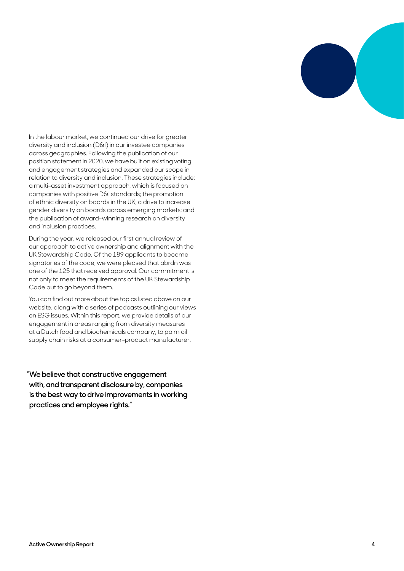

In the labour market, we continued our drive for greater diversity and inclusion (D&I) in our investee companies across geographies. Following the publication of our position statement in 2020, we have built on existing voting and engagement strategies and expanded our scope in relation to diversity and inclusion. These strategies include: a multi-asset investment approach, which is focused on companies with positive D&I standards; the promotion of ethnic diversity on boards in the UK; a drive to increase gender diversity on boards across emerging markets; and the publication of award-winning research on diversity and inclusion practices.

During the year, we released our first annual review of our approach to active ownership and alignment with the UK Stewardship Code. Of the 189 applicants to become signatories of the code, we were pleased that abrdn was one of the 125 that received approval. Our commitment is not only to meet the requirements of the UK Stewardship Code but to go beyond them.

You can find out more about the topics listed above on our website, along with a series of podcasts outlining our views on ESG issues. Within this report, we provide details of our engagement in areas ranging from diversity measures at a Dutch food and biochemicals company, to palm oil supply chain risks at a consumer-product manufacturer.

**"We believe that constructive engagement with, and transparent disclosure by, companies is the best way to drive improvements in working practices and employee rights."**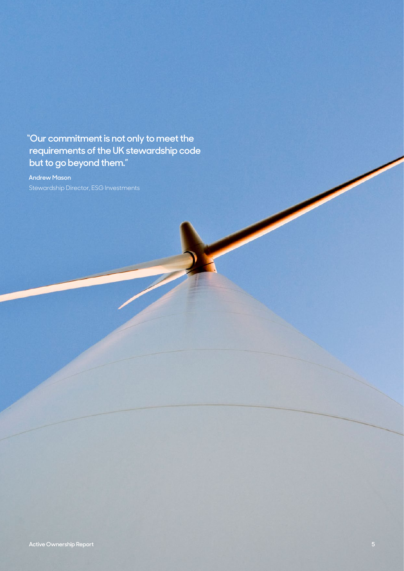**"Our commitment is not only to meet the requirements of the UK stewardship code but to go beyond them."**

**Andrew Mason**  Stewardship Director, ESG Investments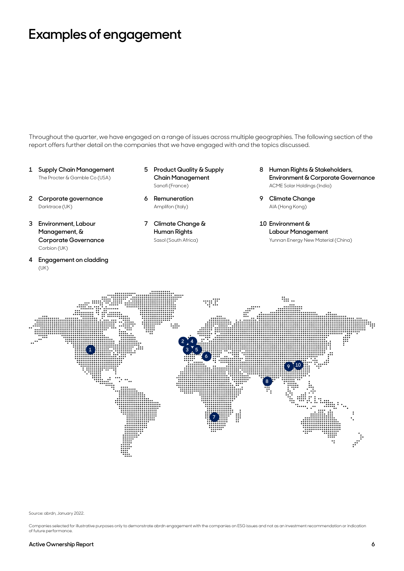# <span id="page-5-0"></span>**Examples of engagement**

Throughout the quarter, we have engaged on a range of issues across multiple geographies. The following section of the report offers further detail on the companies that we have engaged with and the topics discussed.

- **1 Supply Chain Management** The Procter & Gamble Co (USA)
- **2 Corporate governance** Darktrace (UK)
- **3 Environment, Labour Management, & Corporate Governance** Corbion (UK)
- **4 Engagement on cladding** (UK)
- **5 Product Quality & Supply Chain Management**  Sanofi (France)
- **6 Remuneration**  Amplifon (Italy)
- **7 Climate Change & Human Rights** Sasol (South Africa)
- **8 Human Rights & Stakeholders, Environment & Corporate Governance**  ACME Solar Holdings (India)
- **9 Climate Change**  AIA (Hong Kong)
- **10 Environment & Labour Management** Yunnan Energy New Material (China)



Source: abrdn, January 2022.

Companies selected for illustrative purposes only to demonstrate abrdn engagement with the companies on ESG issues and not as an investment recommendation or indication of future performance.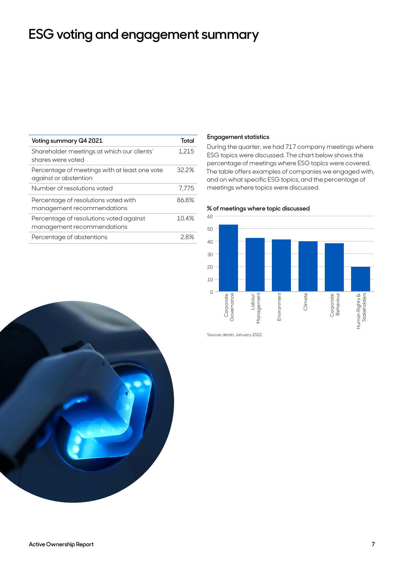# <span id="page-6-0"></span>**ESG voting and engagement summary**

| Voting summary Q4 2021                                                 | Total |
|------------------------------------------------------------------------|-------|
| Shareholder meetings at which our clients'<br>shares were voted        | 1,215 |
| Percentage of meetings with at least one vote<br>against or abstention | 32.2% |
| Number of resolutions voted                                            | 7.775 |
| Percentage of resolutions voted with<br>management recommendations     | 86.8% |
| Percentage of resolutions voted against<br>management recommendations  | 10.4% |
| Percentage of abstentions                                              | 28%   |
|                                                                        |       |

## **Engagement statistics**

During the quarter, we had 717 company meetings where ESG topics were discussed. The chart below shows the percentage of meetings where ESG topics were covered. The table offers examples of companies we engaged with, and on what specific ESG topics, and the percentage of meetings where topics were discussed.





Source: abrdn, January 2022.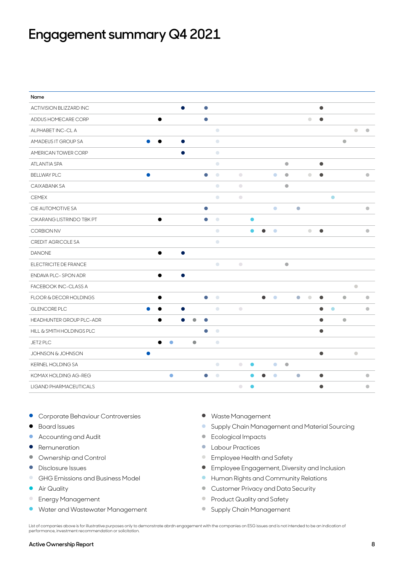# <span id="page-7-0"></span>**Engagement summary Q4 2021**

| Name                         |           |           |           |           |            |            |           |           |           |           |           |           |           |           |           |           |           |
|------------------------------|-----------|-----------|-----------|-----------|------------|------------|-----------|-----------|-----------|-----------|-----------|-----------|-----------|-----------|-----------|-----------|-----------|
| ACTIVISION BLIZZARD INC      |           |           | $\bullet$ | $\bullet$ |            |            |           |           |           |           |           |           | $\bullet$ |           |           |           |           |
| ADDUS HOMECARE CORP          |           | $\bullet$ |           | $\bullet$ |            |            |           |           |           |           |           | $\bullet$ | $\bullet$ |           |           |           |           |
| ALPHABET INC-CL A            |           |           |           |           | $\bigcirc$ |            |           |           |           |           |           |           |           |           |           | $\bullet$ | $\bullet$ |
| AMADEUS IT GROUP SA          | ●         |           |           |           | $\bullet$  |            |           |           |           |           |           |           |           |           | $\bullet$ |           |           |
| AMERICAN TOWER CORP          |           |           |           |           | $\bigcirc$ |            |           |           |           |           |           |           |           |           |           |           |           |
| ATLANTIA SPA                 |           |           |           |           | $\bigcirc$ |            |           |           |           | $\bullet$ |           |           | $\bullet$ |           |           |           |           |
| <b>BELLWAY PLC</b>           | $\bullet$ |           |           | $\bullet$ | $\bigcirc$ | $\bigcirc$ |           |           | $\bullet$ | $\bullet$ |           | $\bullet$ | $\bullet$ |           |           |           | $\bullet$ |
| CAIXABANK SA                 |           |           |           |           | $\bigcirc$ | $\bigcirc$ |           |           |           | $\bullet$ |           |           |           |           |           |           |           |
| <b>CEMEX</b>                 |           |           |           |           | $\bigcirc$ | $\bigcirc$ |           |           |           |           |           |           |           | $\bullet$ |           |           |           |
| CIE AUTOMOTIVE SA            |           |           |           | $\bullet$ |            |            |           |           | $\bullet$ |           | $\bullet$ |           |           |           |           |           | $\bullet$ |
| CIKARANG LISTRINDO TBK PT    |           | $\bullet$ |           | $\bullet$ | $\bigcirc$ |            | Ο         |           |           |           |           |           |           |           |           |           |           |
| <b>CORBION NV</b>            |           |           |           |           | $\bullet$  |            | $\bullet$ | ●         | $\bullet$ |           |           | $\bullet$ | $\bullet$ |           |           |           | $\bullet$ |
| <b>CREDIT AGRICOLE SA</b>    |           |           |           |           | $\bigcirc$ |            |           |           |           |           |           |           |           |           |           |           |           |
| <b>DANONE</b>                |           |           |           |           |            |            |           |           |           |           |           |           |           |           |           |           |           |
| ELECTRICITE DE FRANCE        |           |           |           |           | $\bigcirc$ | $\bigcirc$ |           |           |           | $\bullet$ |           |           |           |           |           |           |           |
| ENDAVA PLC-SPON ADR          |           |           |           |           |            |            |           |           |           |           |           |           |           |           |           |           |           |
| FACEBOOK INC-CLASS A         |           |           |           |           |            |            |           |           |           |           |           |           |           |           |           | $\bullet$ |           |
| FLOOR & DECOR HOLDINGS       |           |           |           | $\bullet$ | $\bullet$  |            |           | $\bullet$ | $\bullet$ |           | $\bullet$ | $\bullet$ | 0         |           | $\bullet$ |           | $\bullet$ |
| GLENCORE PLC                 |           |           |           |           | $\bigcirc$ | $\bigcirc$ |           |           |           |           |           |           | ●         | $\bullet$ |           |           | $\bullet$ |
| HEADHUNTER GROUP PLC-ADR     |           |           | a         |           |            |            |           |           |           |           |           |           | Α         |           | $\bullet$ |           |           |
| HILL & SMITH HOLDINGS PLC    |           |           |           |           | $\bigcirc$ |            |           |           |           |           |           |           | $\bullet$ |           |           |           |           |
| JET2 PLC                     |           | ۰<br>▲    |           | $\bullet$ | $\bigcirc$ |            |           |           |           |           |           |           |           |           |           |           |           |
| <b>JOHNSON &amp; JOHNSON</b> |           |           |           |           |            |            |           |           |           |           |           |           | $\bullet$ |           |           | $\bullet$ |           |
| <b>KERNEL HOLDING SA</b>     |           |           |           |           | $\bullet$  | $\bigcirc$ | 0         |           | $\bullet$ | $\bullet$ |           |           |           |           |           |           |           |
| KOMAX HOLDING AG-REG         |           | $\bullet$ |           | ●         | $\bullet$  |            |           |           | $\bullet$ |           | $\bullet$ |           | $\bullet$ |           |           |           | $\bullet$ |
| LIGAND PHARMACEUTICALS       |           |           |           |           |            | $\bigcirc$ | $\bullet$ |           |           |           |           |           | $\bullet$ |           |           |           | $\bullet$ |

- Corporate Behaviour Controversies Waste Management
- 
- Accounting and Audit example and Audit Audit Audit Audit Audit Audit Audit Audit Audit Audit Audit Audit Audit Audit Audit Audit Audit Audit Audit Audit Audit Audit Audit Audit Audit Audit Audit Audit Audit Audit Audi
- 
- 
- 
- 
- 
- 
- Water and Wastewater Management ● Supply Chain Management
- 
- Board Issues Supply Chain Management and Material Sourcing
	-
- Remuneration Labour Practices
- Ownership and Control entitled and Safety and Safety entitled and Safety entitled and Safety entitled and Safety
- Disclosure Issues Disclosure Issues Publishing Disclosure Issues Employee Engagement, Diversity and Inclusion
- GHG Emissions and Business Model インタントンのサンドンのサンドンのサンドのサンドのサンドのサンドのサンドでは、<br>● Human Rights and Community Relations
- Air Quality Air Quality Air Quality Air Quality Air Quality Air Quality Air Quality Air Quality Air Quality Air  $\sim$  Customer Privacy and Data Security
- Energy Management Product Quality and Safety
	-

List of companies above is for illustrative purposes only to demonstrate abrdn engagement with the companies on ESG issues and is not intended to be an indication of performance, investment recommendation or solicitation.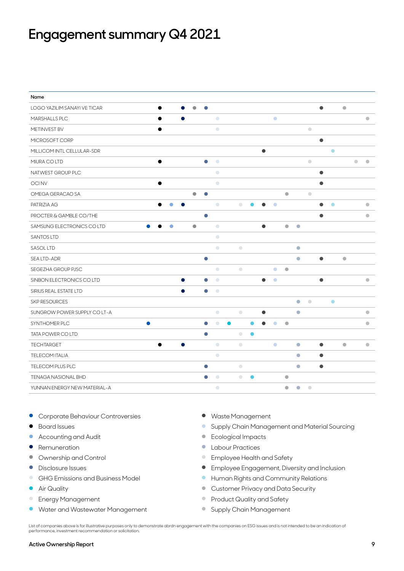# **Engagement summary Q4 2021**

| Name                         |           |           |           |           |           |                        |            |           |           |           |           |           |           |           |           |           |           |
|------------------------------|-----------|-----------|-----------|-----------|-----------|------------------------|------------|-----------|-----------|-----------|-----------|-----------|-----------|-----------|-----------|-----------|-----------|
| LOGO YAZILIM SANAYI VE TICAR |           | $\bullet$ |           | $\bullet$ | $\bullet$ |                        |            |           |           |           |           |           |           | $\bullet$ |           | $\bullet$ |           |
| MARSHALLS PLC                |           | $\bullet$ | $\bullet$ |           |           | $\bullet$              |            |           |           | $\bullet$ |           |           |           |           |           |           | $\bullet$ |
| METINVEST BV                 |           |           |           |           |           | $\bullet$              |            |           |           |           |           |           | $\bullet$ |           |           |           |           |
| MICROSOFT CORP               |           |           |           |           |           |                        |            |           |           |           |           |           |           | $\bullet$ |           |           |           |
| MILLICOM INTL CELLULAR-SDR   |           |           |           |           |           |                        |            |           | $\bullet$ |           |           |           |           |           | $\bullet$ |           |           |
| MIURA CO LTD                 |           |           |           |           | $\bullet$ | $\bullet$              |            |           |           |           |           |           | $\bullet$ |           |           |           | $\bullet$ |
| NATWEST GROUP PLC            |           |           |           |           |           | $\bullet$              |            |           |           |           |           |           |           | $\bullet$ |           |           |           |
| <b>OCINV</b>                 |           | ●         |           |           |           | $\bullet$              |            |           |           |           |           |           |           | ●         |           |           |           |
| OMEGA GERACAO SA             |           |           |           | $\bullet$ | $\bullet$ |                        |            |           |           |           | $\bullet$ |           | $\bullet$ |           |           |           |           |
| PATRIZIA AG                  |           |           |           |           |           | $\bigcirc$             | $\bullet$  |           |           | $\bullet$ |           |           |           | $\bullet$ | $\bullet$ |           | 0         |
| PROCTER & GAMBLE CO/THE      |           |           |           |           | $\bullet$ |                        |            |           |           |           |           |           |           |           |           |           | $\bullet$ |
| SAMSUNG ELECTRONICS COLTD    |           | О         |           | $\bullet$ |           | $\bullet$              |            |           | $\bullet$ |           | $\bullet$ | $\bullet$ |           |           |           |           |           |
| <b>SANTOS LTD</b>            |           |           |           |           |           | $\bigcirc$             |            |           |           |           |           |           |           |           |           |           |           |
| <b>SASOL LTD</b>             |           |           |           |           |           | $\bullet$              | $\bigcirc$ |           |           |           |           | $\bullet$ |           |           |           |           |           |
| SEA LTD-ADR                  |           |           |           |           | $\bullet$ |                        |            |           |           |           |           | $\bullet$ |           | $\bullet$ |           | $\bullet$ |           |
| SEGEZHA GROUP PJSC           |           |           |           |           |           | $\bullet$              | $\bullet$  |           |           | $\bullet$ | $\bullet$ |           |           |           |           |           |           |
| SINBON ELECTRONICS CO LTD    |           |           |           |           |           | $\bullet$              |            |           | $\bullet$ | $\bullet$ |           |           |           | $\bullet$ |           |           | $\bullet$ |
| SIRIUS REAL ESTATE LTD       |           |           | Ω         |           |           | $\bigcirc$             |            |           |           |           |           |           |           |           |           |           |           |
| <b>SKP RESOURCES</b>         |           |           |           |           |           |                        |            |           |           |           |           | $\bullet$ | $\bullet$ |           | $\bullet$ |           |           |
| SUNGROW POWER SUPPLY CO LT-A |           |           |           |           |           | $\bigcirc$             | $\bigcirc$ |           | 0         |           |           | $\bullet$ |           |           |           |           | $\bullet$ |
| SYNTHOMER PLC                | $\bullet$ |           |           |           |           | $\bullet$              |            |           |           | $\bullet$ | $\bullet$ |           |           |           |           |           | $\bullet$ |
| TATA POWER COLTD             |           |           |           |           | $\bullet$ |                        | $\bigcirc$ | $\bullet$ |           |           |           |           |           |           |           |           |           |
| <b>TECHTARGET</b>            |           |           |           |           |           | $\bigcirc$             | $\bigcirc$ |           |           | $\bullet$ |           | $\bullet$ |           | ●         |           | $\bullet$ | $\bullet$ |
| <b>TELECOM ITALIA</b>        |           |           |           |           |           | $\bigcirc$             |            |           |           |           |           | $\bullet$ |           | $\bullet$ |           |           |           |
| TELECOM PLUS PLC             |           |           |           |           | $\bullet$ |                        | $\bigcirc$ |           |           |           |           | $\bullet$ |           | $\bullet$ |           |           |           |
| <b>TENAGA NASIONAL BHD</b>   |           |           |           |           |           | $\color{blue} \bullet$ | $\bullet$  |           |           |           | $\bullet$ |           |           |           |           |           |           |
| YUNNAN ENERGY NEW MATERIAL-A |           |           |           |           |           | $\bigcirc$             |            |           |           |           | $\bullet$ | $\bullet$ | $\bullet$ |           |           |           |           |

- Corporate Behaviour Controversies Waste Management
- 
- Accounting and Audit example and Audit Audit Audit Audit Audit Audit Audit Audit Audit Audit Audit Audit Audit Audit Audit Audit Audit Audit Audit Audit Audit Audit Audit Audit Audit Audit Audit Audit Audit Audit Audi
- 
- 
- 
- 
- 
- 
- Water and Wastewater Management 9 Supply Chain Management
- 
- Board Issues Supply Chain Management and Material Sourcing
	-
- Remuneration Labour Practices
- Ownership and Control entitled and Safety and Safety entitled and Safety entitled and Safety entitled and Safety
- Disclosure Issues Disclosure Issues Publishing Disclosure Issues Employee Engagement, Diversity and Inclusion
- GHG Emissions and Business Model  **Property Additional Authority Relations**
- Air Quality Air Quality Air Quality Air Quality Air Quality Air Quality Air Quality Air Quality Air Quality Air  $\sim$  Customer Privacy and Data Security
- Energy Management Product Quality and Safety
	-

List of companies above is for illustrative purposes only to demonstrate abrdn engagement with the companies on ESG issues and is not intended to be an indication of performance, investment recommendation or solicitation.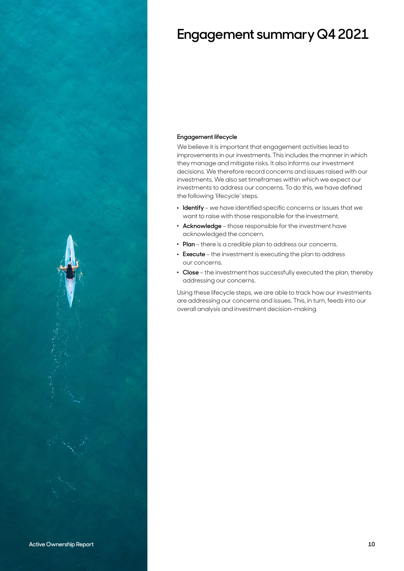

# **Engagement summary Q4 2021**

# **Engagement lifecycle**

We believe it is important that engagement activities lead to improvements in our investments. This includes the manner in which they manage and mitigate risks. It also informs our investment decisions. We therefore record concerns and issues raised with our investments. We also set timeframes within which we expect our investments to address our concerns. To do this, we have defined the following 'lifecycle' steps.

- . **Identify** we have identified specific concerns or issues that we want to raise with those responsible for the investment.
- . **Acknowledge** those responsible for the investment have acknowledged the concern.
- . **Plan** there is a credible plan to address our concerns.
- . **Execute** the investment is executing the plan to address our concerns.
- . **Close** the investment has successfully executed the plan, thereby addressing our concerns.

Using these lifecycle steps, we are able to track how our investments are addressing our concerns and issues. This, in turn, feeds into our overall analysis and investment decision-making.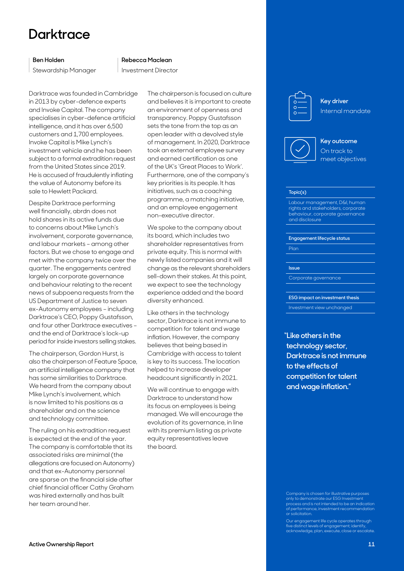# <span id="page-10-0"></span>**Darktrace**

# **Ben Holden**

Stewardship Manager

### **Rebecca Maclean**

Investment Director

Darktrace was founded in Cambridge in 2013 by cyber-defence experts and Invoke Capital. The company specialises in cyber-defence artificial intelligence, and it has over 6,500 customers and 1,700 employees. Invoke Capital is Mike Lynch's investment vehicle and he has been subject to a formal extradition request from the United States since 2019. He is accused of fraudulently inflating the value of Autonomy before its sale to Hewlett Packard.

Despite Darktrace performing well financially, abrdn does not hold shares in its active funds due to concerns about Mike Lynch's involvement, corporate governance, and labour markets – among other factors. But we chose to engage and met with the company twice over the quarter. The engagements centred largely on corporate governance and behaviour relating to the recent news of subpoena requests from the US Department of Justice to seven ex-Autonomy employees – including Darktrace's CEO, Poppy Gustafsson, and four other Darktrace executives – and the end of Darktrace's lock-up period for inside investors selling stakes.

The chairperson, Gordon Hurst, is also the chairperson of Feature Space, an artificial intelligence company that has some similarities to Darktrace. We heard from the company about Mike Lynch's involvement, which is now limited to his positions as a shareholder and on the science and technology committee.

The ruling on his extradition request is expected at the end of the year. The company is comfortable that its associated risks are minimal (the allegations are focused on Autonomy) and that ex-Autonomy personnel are sparse on the financial side after chief financial officer Cathy Graham was hired externally and has built her team around her.

The chairperson is focused on culture and believes it is important to create an environment of openness and transparency. Poppy Gustafsson sets the tone from the top as an open leader with a devolved style of management. In 2020, Darktrace took an external employee survey and earned certification as one of the UK's 'Great Places to Work'. Furthermore, one of the company's key priorities is its people. It has initiatives, such as a coaching programme, a matching initiative, and an employee engagement non-executive director.

We spoke to the company about its board, which includes two shareholder representatives from private equity. This is normal with newly listed companies and it will change as the relevant shareholders sell-down their stakes. At this point, we expect to see the technology experience added and the board diversity enhanced.

Like others in the technology sector, Darktrace is not immune to competition for talent and wage inflation. However, the company believes that being based in Cambridge with access to talent is key to its success. The location helped to increase developer headcount significantly in 2021.

We will continue to engage with Darktrace to understand how its focus on employees is being managed. We will encourage the evolution of its governance, in line with its premium listing as private equity representatives leave the board.



**Key driver** Internal mandate





### **Topic(s)**

Labour management, D&I, human rights and stakeholders, corporate behaviour, corporate governance and disclosure

**Engagement lifecycle status**

Plan

#### **Issue**

Corporate governance

**ESG impact on investment thesis** Investment view unchanged

**"Like others in the technology sector, Darktrace is not immune to the effects of competition for talent and wage inflation."**

Company is chosen for illustrative purposes only to demonstrate our ESG Investmen  $\overline{\rm{o}}$ cess and is not intended to be an indication of performance, investment recommendation or solicitation.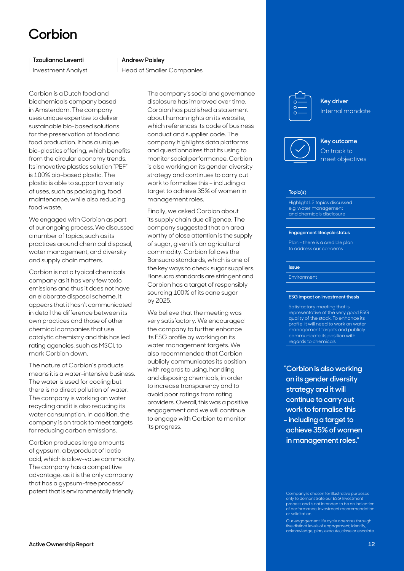# <span id="page-11-0"></span>**Corbion**

## **Tzoulianna Leventi**

Investment Analyst

### **Andrew Paisley**

Head of Smaller Companies

Corbion is a Dutch food and biochemicals company based in Amsterdam. The company uses unique expertise to deliver sustainable bio-based solutions for the preservation of food and food production. It has a unique bio-plastics offering, which benefits from the circular economy trends. Its innovative plastics solution "PEF" is 100% bio-based plastic. The plastic is able to support a variety of uses, such as packaging, food maintenance, while also reducing food waste.

We engaged with Corbion as part of our ongoing process. We discussed a number of topics, such as its practices around chemical disposal, water management, and diversity and supply chain matters.

Corbion is not a typical chemicals company as it has very few toxic emissions and thus it does not have an elaborate disposal scheme. It appears that it hasn't communicated in detail the difference between its own practices and those of other chemical companies that use catalytic chemistry and this has led rating agencies, such as MSCI, to mark Corbion down.

The nature of Corbion's products means it is a water-intensive business. The water is used for cooling but there is no direct pollution of water. The company is working on water recycling and it is also reducing its water consumption. In addition, the company is on track to meet targets for reducing carbon emissions.

Corbion produces large amounts of gypsum, a byproduct of lactic acid, which is a low-value commodity. The company has a competitive advantage, as it is the only company that has a gypsum-free process/ patent that is environmentally friendly.

The company's social and governance disclosure has improved over time. Corbion has published a statement about human rights on its website, which references its code of business conduct and supplier code. The company highlights data platforms and questionnaires that its using to monitor social performance. Corbion is also working on its gender diversity strategy and continues to carry out work to formalise this – including a target to achieve 35% of women in management roles.

Finally, we asked Corbion about its supply chain due diligence. The company suggested that an area worthy of close attention is the supply of sugar, given it's an agricultural commodity. Corbion follows the Bonsucro standards, which is one of the key ways to check sugar suppliers. Bonsucro standards are stringent and Corbion has a target of responsibly sourcing 100% of its cane sugar by 2025.

We believe that the meeting was very satisfactory. We encouraged the company to further enhance its ESG profile by working on its water management targets. We also recommended that Corbion publicly communicates its position with regards to using, handling and disposing chemicals, in order to increase transparency and to avoid poor ratings from rating providers. Overall, this was a positive engagement and we will continue to engage with Corbion to monitor its progress.

**Key driver** Internal mandate





### **Topic(s)**

Highlight L2 topics discussed e.g. water management and chemicals disclosure

#### **Engagement lifecycle status**

Plan – there is a credible plan to address our concerns

#### **Issue**

Environment

#### **ESG impact on investment thesis**

Satisfactory meeting that is representative of the very good ESG quality of the stock. To enhance its profile, it will need to work on water management targets and publicly communicate its position with regards to chemicals

**"Corbion is also working on its gender diversity strategy and it will continue to carry out work to formalise this – including a target to achieve 35% of women in management roles."**

Company is chosen for illustrative purposes only to demonstrate our ESG Investmen process and is not intended to be an indication of performance, investment recommendation or solicitation.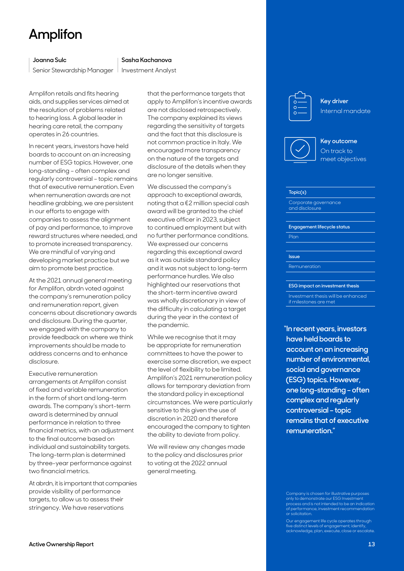# <span id="page-12-0"></span>**Amplifon**

# **Joanna Sulc**

Senior Stewardship Manager

# **Sasha Kachanova**

Investment Analyst

Amplifon retails and fits hearing aids, and supplies services aimed at the resolution of problems related to hearing loss. A global leader in hearing care retail, the company operates in 26 countries.

In recent years, investors have held boards to account on an increasing number of ESG topics. However, one long-standing – often complex and regularly controversial – topic remains that of executive remuneration. Even when remuneration awards are not headline grabbing, we are persistent in our efforts to engage with companies to assess the alignment of pay and performance, to improve reward structures where needed, and to promote increased transparency. We are mindful of varying and developing market practice but we aim to promote best practice.

At the 2021 annual general meeting for Amplifon, abrdn voted against the company's remuneration policy and remuneration report, given concerns about discretionary awards and disclosure. During the quarter, we engaged with the company to provide feedback on where we think improvements should be made to address concerns and to enhance disclosure.

Executive remuneration arrangements at Amplifon consist of fixed and variable remuneration in the form of short and long-term awards. The company's short-term award is determined by annual performance in relation to three financial metrics, with an adjustment to the final outcome based on individual and sustainability targets. The long-term plan is determined by three-year performance against two financial metrics.

At abrdn, it is important that companies provide visibility of performance targets, to allow us to assess their stringency. We have reservations

that the performance targets that apply to Amplifon's incentive awards are not disclosed retrospectively. The company explained its views regarding the sensitivity of targets and the fact that this disclosure is not common practice in Italy. We encouraged more transparency on the nature of the targets and disclosure of the details when they are no longer sensitive.

We discussed the company's approach to exceptional awards, noting that a €2 million special cash award will be granted to the chief executive officer in 2023, subject to continued employment but with no further performance conditions. We expressed our concerns regarding this exceptional award as it was outside standard policy and it was not subject to long-term performance hurdles. We also highlighted our reservations that the short-term incentive award was wholly discretionary in view of the difficulty in calculating a target during the year in the context of the pandemic.

While we recognise that it may be appropriate for remuneration committees to have the power to exercise some discretion, we expect the level of flexibility to be limited. Amplifon's 2021 remuneration policy allows for temporary deviation from the standard policy in exceptional circumstances. We were particularly sensitive to this given the use of discretion in 2020 and therefore encouraged the company to tighten the ability to deviate from policy.

We will review any changes made to the policy and disclosures prior to voting at the 2022 annual general meeting.



**Key driver** Internal mandate



# **Key outcome** On track to meet objectives

#### **Topic(s)**

Corporate governance and disclosure

**Engagement lifecycle status**

Plan

#### **Issue**

Remuneration

#### **ESG impact on investment thesis**

Investment thesis will be enhanced if milestones are met

**"In recent years, investors have held boards to account on an increasing number of environmental, social and governance (ESG) topics. However, one long-standing – often complex and regularly controversial – topic remains that of executive remuneration."**

Company is chosen for illustrative purposes only to demonstrate our ESG Investmen  $\overline{\rm{o}}$ cess and is not intended to be an indication of performance, investment recommendation or solicitation.

Our engagement life cycle operates through five distinct levels of engagement; identify, acknowledge, plan, execute, close or escalate.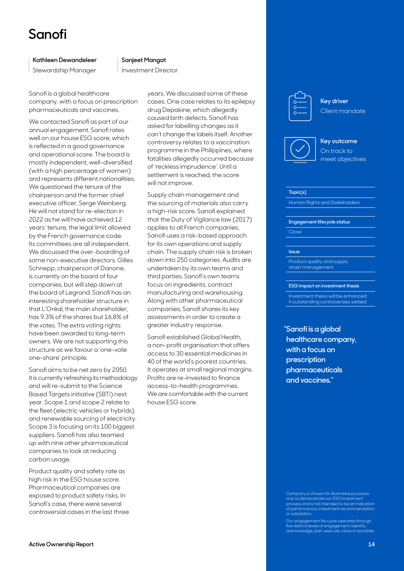# <span id="page-13-0"></span>**Sanofi**

## **Kathleen Dewandeleer**

Stewardship Manager

### **Sanjeet Mangat**

Investment Director

Sanofi is a global healthcare company, with a focus on prescription pharmaceuticals and vaccines.

We contacted Sanofi as part of our annual engagement. Sanofi rates well on our house ESG score, which is reflected in a good governance and operational score. The board is mostly independent, well-diversified (with a high percentage of women) and represents different nationalities. We questioned the tenure of the chairperson and the former chief executive officer, Serge Weinberg. He will not stand for re-election in 2022 as he will have achieved 12 years' tenure, the legal limit allowed by the French governance code. Its committees are all independent. We discussed the over-boarding of some non-executive directors. Gilles Schnepp, chairperson of Danone, is currently on the board of four companies, but will step down at the board of Legrand. Sanofi has an interesting shareholder structure in that L'Oréal, the main shareholder, has 9.3% of the shares but 16.8% of the votes. The extra voting rights have been awarded to long-term owners. We are not supporting this structure as we favour a 'one-vote one-share' principle.

Sanofi aims to be net zero by 2050. It is currently refreshing its methodology and will re-submit to the Science Based Targets initiative (SBTi) next year. Scope 1 and scope 2 relate to the fleet (electric vehicles or hybrids) and renewable sourcing of electricity. Scope 3 is focusing on its 100 biggest suppliers. Sanofi has also teamed up with nine other pharmaceutical companies to look at reducing carbon usage.

Product quality and safety rate as high risk in the ESG house score. Pharmaceutical companies are exposed to product safety risks. In Sanofi's case, there were several controversial cases in the last three years. We discussed some of these cases. One case relates to its epilepsy drug Depakine, which allegedly caused birth defects. Sanofi has asked for labelling changes as it can't change the labels itself. Another controversy relates to a vaccination programme in the Philippines, where fatalities allegedly occurred because of 'reckless imprudence'. Until a settlement is reached, the score will not improve.

Supply chain management and the sourcing of materials also carry a high-risk score. Sanofi explained that the Duty of Vigilance law (2017) applies to all French companies. Sanofi uses a risk-based approach for its own operations and supply chain. The supply chain risk is broken down into 250 categories. Audits are undertaken by its own teams and third parties. Sanofi's own teams focus on ingredients, contract manufacturing and warehousing. Along with other pharmaceutical companies, Sanofi shares its key assessments in order to create a greater industry response.

Sanofi established Global Health, a non-profit organisation that offers access to 30 essential medicines in 40 of the world's poorest countries. It operates at small regional margins. Profits are re-invested to finance access-to-health programmes. We are comfortable with the current house ESG score.

**Key driver** Client mandate





# **Topic(s)**

Human Rights and Stakeholders

#### **Engagement lifecycle status**

Close

#### **Issue**

Product quality and supply chain management

#### **ESG impact on investment thesis**

Investment thesis will be enhanced if outstanding controversies settled

**"Sanofi is a global healthcare company, with a focus on prescription pharmaceuticals and vaccines."**

Company is chosen for illustrative purposes only to demonstrate our ESG Investmen  $\overline{\rm{o}}$ cess and is not intended to be an indication of performance, investment recommendation or solicitation.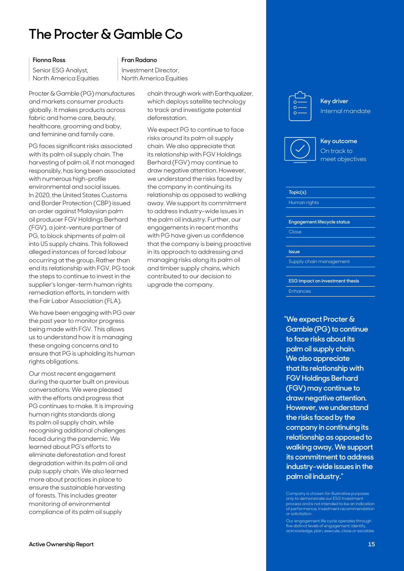# <span id="page-14-0"></span>**The Procter & Gamble Co**

## **Fionna Ross**

Senior ESG Analyst, North America Equities

### **Fran Radano**

Investment Director, North America Equities

Procter & Gamble (PG) manufactures and markets consumer products globally. It makes products across fabric and home care, beauty, healthcare, grooming and baby, and feminine and family care.

PG faces significant risks associated with its palm oil supply chain. The harvesting of palm oil, if not managed responsibly, has long been associated with numerous high-profile environmental and social issues. In 2020, the United States Customs and Border Protection (CBP) issued an order against Malaysian palm oil producer FGV Holdings Berhard (FGV), a joint-venture partner of PG, to block shipments of palm oil into US supply chains. This followed alleged instances of forced labour occurring at the group. Rather than end its relationship with FGV, PG took the steps to continue to invest in the supplier's longer-term human rights remediation efforts, in tandem with the Fair Labor Association (FLA).

We have been engaging with PG over the past year to monitor progress being made with FGV. This allows us to understand how it is managing these ongoing concerns and to ensure that PG is upholding its human rights obligations.

Our most recent engagement during the quarter built on previous conversations. We were pleased with the efforts and progress that PG continues to make. It is improving human rights standards along its palm oil supply chain, while recognising additional challenges faced during the pandemic. We learned about PG's efforts to eliminate deforestation and forest degradation within its palm oil and pulp supply chain. We also learned more about practices in place to ensure the sustainable harvesting of forests. This includes greater monitoring of environmental compliance of its palm oil supply

chain through work with Earthqualizer, which deploys satellite technology to track and investigate potential deforestation.

We expect PG to continue to face risks around its palm oil supply chain. We also appreciate that its relationship with FGV Holdings Berhard (FGV) may continue to draw negative attention. However, we understand the risks faced by the company in continuing its relationship as opposed to walking away. We support its commitment to address industry-wide issues in the palm oil industry. Further, our engagements in recent months with PG have given us confidence that the company is being proactive in its approach to addressing and managing risks along its palm oil and timber supply chains, which contributed to our decision to upgrade the company.



**Key driver** Internal mandate



# **Key outcome** On track to meet objectives

# **Topic(s)**

Human rights

**Engagement lifecycle status**

Close

**Issue**

Supply chain management

**ESG impact on investment thesis** Enhances

**"We expect Procter & Gamble (PG) to continue to face risks about its palm oil supply chain. We also appreciate that its relationship with FGV Holdings Berhard (FGV) may continue to draw negative attention. However, we understand the risks faced by the company in continuing its relationship as opposed to walking away. We support its commitment to address industry-wide issues in the palm oil industry."**

Company is chosen for illustrative purposes only to demonstrate our ESG Investmen  $\overline{\rm{o}}$ cess and is not intended to be an indication of performance, investment recommendation or solicitation.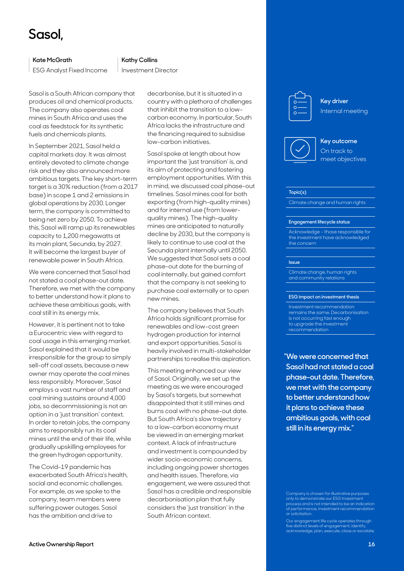# <span id="page-15-0"></span>**Sasol,**

# **Kate McGrath**

ESG Analyst Fixed Income

### **Kathy Collins**

Investment Director

Sasol is a South African company that produces oil and chemical products. The company also operates coal mines in South Africa and uses the coal as feedstock for its synthetic fuels and chemicals plants.

In September 2021, Sasol held a capital markets day. It was almost entirely devoted to climate change risk and they also announced more ambitious targets. The key short-term target is a 30% reduction (from a 2017 base) in scope 1 and 2 emissions in global operations by 2030. Longer term, the company is committed to being net zero by 2050. To achieve this, Sasol will ramp up its renewables capacity to 1,200 megawatts at its main plant, Secunda, by 2027. It will become the largest buyer of renewable power in South Africa.

We were concerned that Sasol had not stated a coal phase-out date. Therefore, we met with the company to better understand how it plans to achieve these ambitious goals, with coal still in its energy mix.

However, it is pertinent not to take a Eurocentric view with regard to coal usage in this emerging market. Sasol explained that it would be irresponsible for the group to simply sell-off coal assets, because a new owner may operate the coal mines less responsibly. Moreover, Sasol employs a vast number of staff and coal mining sustains around 4,000 jobs, so decommissioning is not an option in a 'just transition' context. In order to retain jobs, the company aims to responsibly run its coal mines until the end of their life, while gradually upskilling employees for the green hydrogen opportunity.

The Covid-19 pandemic has exacerbated South Africa's health, social and economic challenges. For example, as we spoke to the company, team members were suffering power outages. Sasol has the ambition and drive to

decarbonise, but it is situated in a country with a plethora of challenges that inhibit the transition to a lowcarbon economy. In particular, South Africa lacks the infrastructure and the financing required to subsidise low-carbon initiatives.

Sasol spoke at length about how important the 'just transition' is, and its aim of protecting and fostering employment opportunities. With this in mind, we discussed coal phase-out timelines. Sasol mines coal for both exporting (from high-quality mines) and for internal use (from lowerquality mines). The high-quality mines are anticipated to naturally decline by 2030, but the company is likely to continue to use coal at the Secunda plant internally until 2050. We suggested that Sasol sets a coal phase-out date for the burning of coal internally, but gained comfort that the company is not seeking to purchase coal externally or to open new mines.

The company believes that South Africa holds significant promise for renewables and low-cost green hydrogen production for internal and export opportunities. Sasol is heavily involved in multi-stakeholder partnerships to realise this aspiration.

This meeting enhanced our view of Sasol. Originally, we set up the meeting as we were encouraged by Sasol's targets, but somewhat disappointed that it still mines and burns coal with no phase-out date. But South Africa's slow trajectory to a low-carbon economy must be viewed in an emerging market context. A lack of infrastructure and investment is compounded by wider socio-economic concerns, including ongoing power shortages and health issues. Therefore, via engagement, we were assured that Sasol has a credible and responsible decarbonisation plan that fully considers the 'just transition' in the South African context.



**Key driver** Internal meeting



# **Key outcome** On track to meet objectives

### **Topic(s)**

Climate change and human rights

#### **Engagement lifecycle status**

Acknowledge – those responsible for the investment have acknowledged the concern

## **Issue**

Climate change, human rights and community relations

#### **ESG impact on investment thesis**

Investment recommendation remains the same. Decarbonisation is not occurring fast enough to upgrade the investment recommendation

**"We were concerned that Sasol had not stated a coal phase-out date. Therefore, we met with the company to better understand how it plans to achieve these ambitious goals, with coal still in its energy mix."**

Company is chosen for illustrative purposes only to demonstrate our ESG Investmen  $\overline{\rm{o}}$ cess and is not intended to be an indication of performance, investment recommendation or solicitation.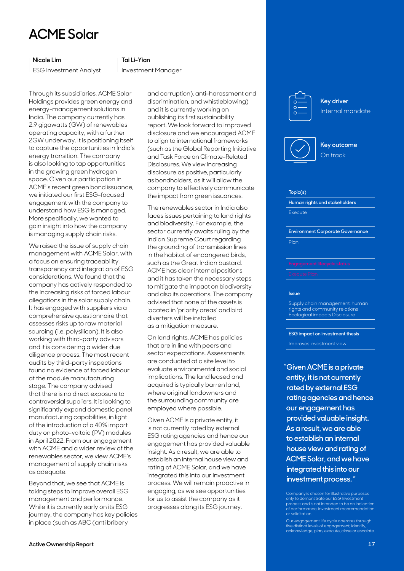# <span id="page-16-0"></span>**ACME Solar**

# **Nicole Lim**

ESG Investment Analyst

## **Tai Li-Yian**

Investment Manager

Through its subsidiaries, ACME Solar Holdings provides green energy and energy-management solutions in India. The company currently has 2.9 gigawatts (GW) of renewables operating capacity, with a further 2GW underway. It is positioning itself to capture the opportunities in India's energy transition. The company is also looking to tap opportunities in the growing green hydrogen space. Given our participation in ACME's recent green bond issuance, we initiated our first ESG-focused engagement with the company to understand how ESG is managed. More specifically, we wanted to gain insight into how the company is managing supply chain risks.

We raised the issue of supply chain management with ACME Solar, with a focus on ensuring traceability, transparency and integration of ESG considerations. We found that the company has actively responded to the increasing risks of forced labour allegations in the solar supply chain. It has engaged with suppliers via a comprehensive questionnaire that assesses risks up to raw material sourcing (i.e. polysilicon). It is also working with third-party advisors and it is considering a wider due diligence process. The most recent audits by third-party inspections found no evidence of forced labour at the module manufacturing stage. The company advised that there is no direct exposure to controversial suppliers. It is looking to significantly expand domestic panel manufacturing capabilities, in light of the introduction of a 40% import duty on photo-voltaic (PV) modules in April 2022. From our engagement with ACME and a wider review of the renewables sector, we view ACME's management of supply chain risks as adequate.

Beyond that, we see that ACME is taking steps to improve overall ESG management and performance. While it is currently early on its ESG journey, the company has key policies in place (such as ABC (anti bribery

and corruption), anti-harassment and discrimination, and whistleblowing) and it is currently working on publishing its first sustainability report. We look forward to improved disclosure and we encouraged ACME to align to international frameworks (such as the Global Reporting Initiative and Task Force on Climate-Related Disclosures. We view increasing disclosure as positive, particularly as bondholders, as it will allow the company to effectively communicate the impact from green issuances.

The renewables sector in India also faces issues pertaining to land rights and biodiversity. For example, the sector currently awaits ruling by the Indian Supreme Court regarding the grounding of transmission lines in the habitat of endangered birds, such as the Great Indian bustard. ACME has clear internal positions and it has taken the necessary steps to mitigate the impact on biodiversity and also its operations. The company advised that none of the assets is located in 'priority areas' and bird diverters will be installed as a mitigation measure.

On land rights, ACME has policies that are in line with peers and sector expectations. Assessments are conducted at a site level to evaluate environmental and social implications. The land leased and acquired is typically barren land, where original landowners and the surrounding community are employed where possible.

Given ACME is a private entity, it is not currently rated by external ESG rating agencies and hence our engagement has provided valuable insight. As a result, we are able to establish an internal house view and rating of ACME Solar, and we have integrated this into our investment process. We will remain proactive in engaging, as we see opportunities for us to assist the company as it progresses along its ESG journey.

**Key driver** Internal mandate





### **Topic(s)**

**Human rights and stakeholders** Execute

**Environment Corporate Governance** Plan

#### **Issue**

Supply chain management, human rights and community relations Ecological impacts Disclosure

### **ESG impact on investment thesis**

Improves investment view

**"Given ACME is a private entity, it is not currently rated by external ESG rating agencies and hence our engagement has provided valuable insight. As a result, we are able to establish an internal house view and rating of ACME Solar, and we have integrated this into our investment process. "**

Company is chosen for illustrative purposes only to demonstrate our ESG Investmen process and is not intended to be an indication of performance, investment recommendation or solicitation.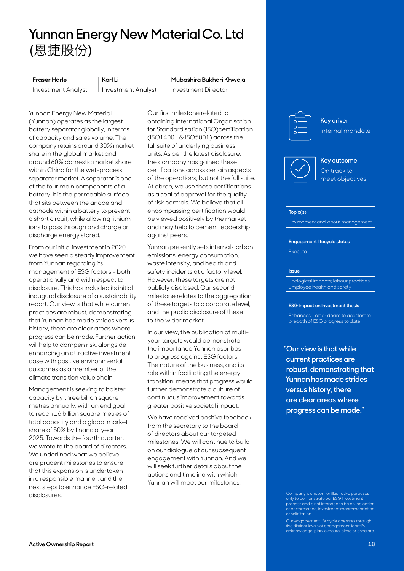# <span id="page-17-0"></span>**Yunnan Energy New Material Co. Ltd** (恩捷股份)

### **Fraser Harle**

Investment Analyst

# **Karl Li**

Investment Analyst

**Mubashira Bukhari Khwaja** 

Investment Director

Yunnan Energy New Material (Yunnan) operates as the largest battery separator globally, in terms of capacity and sales volume. The company retains around 30% market share in the global market and around 60% domestic market share within China for the wet-process separator market. A separator is one of the four main components of a battery. It is the permeable surface that sits between the anode and cathode within a battery to prevent a short circuit, while allowing lithium ions to pass through and charge or discharge energy stored.

From our initial investment in 2020, we have seen a steady improvement from Yunnan regarding its management of ESG factors – both operationally and with respect to disclosure. This has included its initial inaugural disclosure of a sustainability report. Our view is that while current practices are robust, demonstrating that Yunnan has made strides versus history, there are clear areas where progress can be made. Further action will help to dampen risk, alongside enhancing an attractive investment case with positive environmental outcomes as a member of the climate transition value chain.

Management is seeking to bolster capacity by three billion square metres annually, with an end goal to reach 16 billion square metres of total capacity and a global market share of 50% by financial year 2025. Towards the fourth quarter, we wrote to the board of directors. We underlined what we believe are prudent milestones to ensure that this expansion is undertaken in a responsible manner, and the next steps to enhance ESG-related disclosures.

Our first milestone related to obtaining International Organisation for Standardisation (ISO)certification (ISO14001 & ISO5001) across the full suite of underlying business units. As per the latest disclosure, the company has gained these certifications across certain aspects of the operations, but not the full suite. At abrdn, we use these certifications as a seal of approval for the quality of risk controls. We believe that allencompassing certification would be viewed positively by the market and may help to cement leadership against peers.

Yunnan presently sets internal carbon emissions, energy consumption, waste intensity, and health and safety incidents at a factory level. However, these targets are not publicly disclosed. Our second milestone relates to the aggregation of these targets to a corporate level, and the public disclosure of these to the wider market.

In our view, the publication of multiyear targets would demonstrate the importance Yunnan ascribes to progress against ESG factors. The nature of the business, and its role within facilitating the energy transition, means that progress would further demonstrate a culture of continuous improvement towards greater positive societal impact.

We have received positive feedback from the secretary to the board of directors about our targeted milestones. We will continue to build on our dialogue at our subsequent engagement with Yunnan. And we will seek further details about the actions and timeline with which Yunnan will meet our milestones.



**Key driver** Internal mandate



# **Key outcome** On track to meet objectives

#### **Topic(s)**

Environment and labour management

#### **Engagement lifecycle status**

**Execute** 

#### **Issue**

Ecological impacts; labour practices; Employee health and safety

#### **ESG impact on investment thesis**

Enhances – clear desire to accelerate breadth of ESG progress to date

**"Our view is that while current practices are robust, demonstrating that Yunnan has made strides versus history, there are clear areas where progress can be made."** 

Company is chosen for illustrative purposes only to demonstrate our ESG Investmen  $\overline{\rm{o}}$ cess and is not intended to be an indication of performance, investment recommendation or solicitation.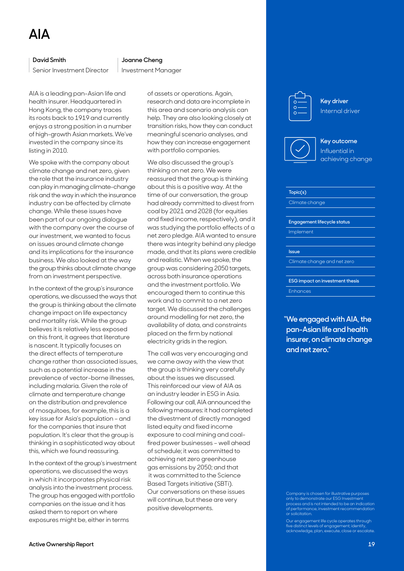### <span id="page-18-0"></span>**David Smith**

Senior Investment Director

AIA is a leading pan-Asian life and health insurer. Headquartered in Hong Kong, the company traces its roots back to 1919 and currently enjoys a strong position in a number of high-growth Asian markets. We've invested in the company since its listing in 2010.

We spoke with the company about climate change and net zero, given the role that the insurance industry can play in managing climate-change risk and the way in which the insurance industry can be affected by climate change. While these issues have been part of our ongoing dialogue with the company over the course of our investment, we wanted to focus on issues around climate change and its implications for the insurance business. We also looked at the way the group thinks about climate change from an investment perspective.

In the context of the group's insurance operations, we discussed the ways that the group is thinking about the climate change impact on life expectancy and mortality risk. While the group believes it is relatively less exposed on this front, it agrees that literature is nascent. It typically focuses on the direct effects of temperature change rather than associated issues, such as a potential increase in the prevalence of vector-borne illnesses, including malaria. Given the role of climate and temperature change on the distribution and prevalence of mosquitoes, for example, this is a key issue for Asia's population – and for the companies that insure that population. It's clear that the group is thinking in a sophisticated way about this, which we found reassuring.

In the context of the group's investment operations, we discussed the ways in which it incorporates physical risk analysis into the investment process. The group has engaged with portfolio companies on the issue and it has asked them to report on where exposures might be, either in terms

#### **Joanne Cheng**

Investment Manager

of assets or operations. Again, research and data are incomplete in this area and scenario analysis can help. They are also looking closely at transition risks, how they can conduct meaningful scenario analyses, and how they can increase engagement with portfolio companies.

We also discussed the group's thinking on net zero. We were reassured that the group is thinking about this is a positive way. At the time of our conversation, the group had already committed to divest from coal by 2021 and 2028 (for equities and fixed income, respectively), and it was studying the portfolio effects of a net zero pledge. AIA wanted to ensure there was integrity behind any pledge made, and that its plans were credible and realistic. When we spoke, the group was considering 2050 targets, across both insurance operations and the investment portfolio. We encouraged them to continue this work and to commit to a net zero target. We discussed the challenges around modelling for net zero, the availability of data, and constraints placed on the firm by national electricity grids in the region.

The call was very encouraging and we came away with the view that the group is thinking very carefully about the issues we discussed. This reinforced our view of AIA as an industry leader in ESG in Asia. Following our call, AIA announced the following measures: it had completed the divestment of directly managed listed equity and fixed income exposure to coal mining and coalfired power businesses – well ahead of schedule; it was committed to achieving net zero greenhouse gas emissions by 2050; and that it was committed to the Science Based Targets initiative (SBTi). Our conversations on these issues will continue, but these are very positive developments.

**Key driver** Internal driver





## **Topic(s)**

Climate change

**Engagement lifecycle status**

Implement

**Issue**

Climate change and net zero

**ESG impact on investment thesis**

Enhances

**"We engaged with AIA, the pan-Asian life and health insurer, on climate change and net zero."**

Company is chosen for illustrative purposes only to demonstrate our ESG Investmen  $\overline{\rm{o}}$ cess and is not intended to be an indication of performance, investment recommendation or solicitation.